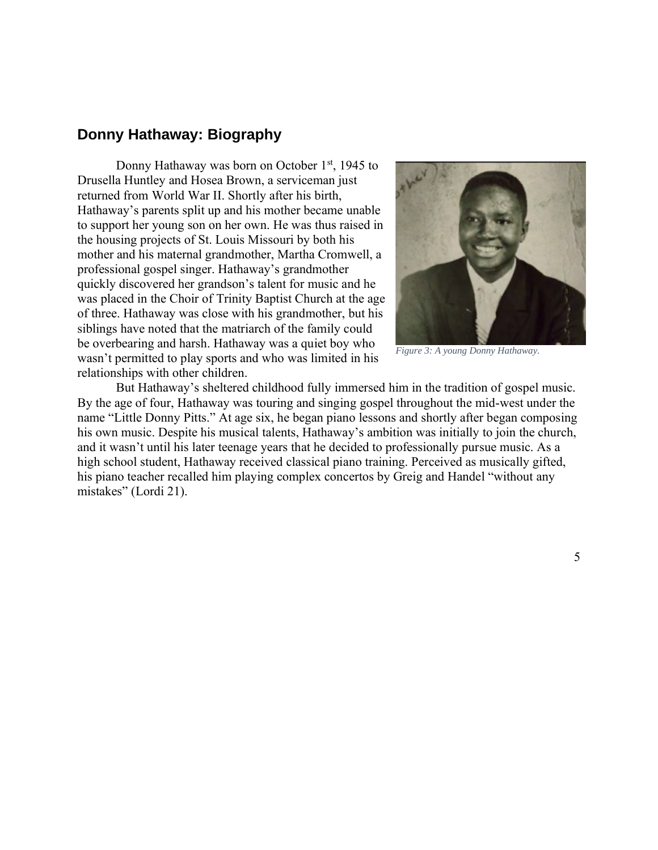## **Donny Hathaway: Biography**

Donny Hathaway was born on October 1<sup>st</sup>, 1945 to Drusella Huntley and Hosea Brown, a serviceman just returned from World War II. Shortly after his birth, Hathaway's parents split up and his mother became unable to support her young son on her own. He was thus raised in the housing projects of St. Louis Missouri by both his mother and his maternal grandmother, Martha Cromwell, a professional gospel singer. Hathaway's grandmother quickly discovered her grandson's talent for music and he was placed in the Choir of Trinity Baptist Church at the age of three. Hathaway was close with his grandmother, but his siblings have noted that the matriarch of the family could be overbearing and harsh. Hathaway was a quiet boy who wasn't permitted to play sports and who was limited in his relationships with other children.



*Figure 3: A young Donny Hathaway.* 

But Hathaway's sheltered childhood fully immersed him in the tradition of gospel music. By the age of four, Hathaway was touring and singing gospel throughout the mid-west under the name "Little Donny Pitts." At age six, he began piano lessons and shortly after began composing his own music. Despite his musical talents, Hathaway's ambition was initially to join the church, and it wasn't until his later teenage years that he decided to professionally pursue music. As a high school student, Hathaway received classical piano training. Perceived as musically gifted, his piano teacher recalled him playing complex concertos by Greig and Handel "without any mistakes" (Lordi 21).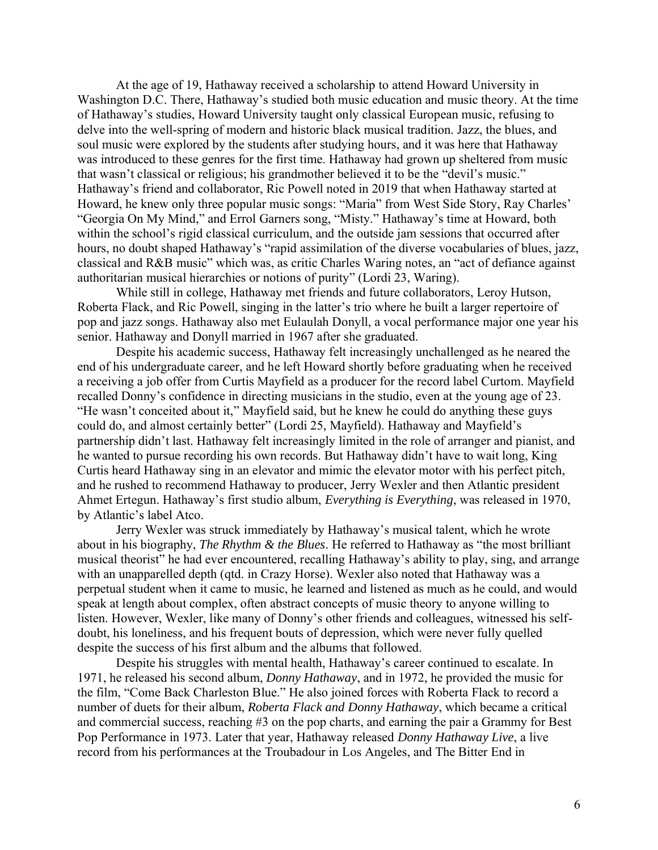At the age of 19, Hathaway received a scholarship to attend Howard University in Washington D.C. There, Hathaway's studied both music education and music theory. At the time of Hathaway's studies, Howard University taught only classical European music, refusing to delve into the well-spring of modern and historic black musical tradition. Jazz, the blues, and soul music were explored by the students after studying hours, and it was here that Hathaway was introduced to these genres for the first time. Hathaway had grown up sheltered from music that wasn't classical or religious; his grandmother believed it to be the "devil's music." Hathaway's friend and collaborator, Ric Powell noted in 2019 that when Hathaway started at Howard, he knew only three popular music songs: "Maria" from West Side Story, Ray Charles' "Georgia On My Mind," and Errol Garners song, "Misty." Hathaway's time at Howard, both within the school's rigid classical curriculum, and the outside jam sessions that occurred after hours, no doubt shaped Hathaway's "rapid assimilation of the diverse vocabularies of blues, jazz, classical and R&B music" which was, as critic Charles Waring notes, an "act of defiance against authoritarian musical hierarchies or notions of purity" (Lordi 23, Waring).

While still in college, Hathaway met friends and future collaborators, Leroy Hutson, Roberta Flack, and Ric Powell, singing in the latter's trio where he built a larger repertoire of pop and jazz songs. Hathaway also met Eulaulah Donyll, a vocal performance major one year his senior. Hathaway and Donyll married in 1967 after she graduated.

Despite his academic success, Hathaway felt increasingly unchallenged as he neared the end of his undergraduate career, and he left Howard shortly before graduating when he received a receiving a job offer from Curtis Mayfield as a producer for the record label Curtom. Mayfield recalled Donny's confidence in directing musicians in the studio, even at the young age of 23. "He wasn't conceited about it," Mayfield said, but he knew he could do anything these guys could do, and almost certainly better" (Lordi 25, Mayfield). Hathaway and Mayfield's partnership didn't last. Hathaway felt increasingly limited in the role of arranger and pianist, and he wanted to pursue recording his own records. But Hathaway didn't have to wait long, King Curtis heard Hathaway sing in an elevator and mimic the elevator motor with his perfect pitch, and he rushed to recommend Hathaway to producer, Jerry Wexler and then Atlantic president Ahmet Ertegun. Hathaway's first studio album, *Everything is Everything*, was released in 1970, by Atlantic's label Atco.

Jerry Wexler was struck immediately by Hathaway's musical talent, which he wrote about in his biography, *The Rhythm & the Blues*. He referred to Hathaway as "the most brilliant musical theorist" he had ever encountered, recalling Hathaway's ability to play, sing, and arrange with an unapparelled depth (qtd. in Crazy Horse). Wexler also noted that Hathaway was a perpetual student when it came to music, he learned and listened as much as he could, and would speak at length about complex, often abstract concepts of music theory to anyone willing to listen. However, Wexler, like many of Donny's other friends and colleagues, witnessed his selfdoubt, his loneliness, and his frequent bouts of depression, which were never fully quelled despite the success of his first album and the albums that followed.

Despite his struggles with mental health, Hathaway's career continued to escalate. In 1971, he released his second album, *Donny Hathaway*, and in 1972, he provided the music for the film, "Come Back Charleston Blue." He also joined forces with Roberta Flack to record a number of duets for their album, *Roberta Flack and Donny Hathaway*, which became a critical and commercial success, reaching #3 on the pop charts, and earning the pair a Grammy for Best Pop Performance in 1973. Later that year, Hathaway released *Donny Hathaway Live*, a live record from his performances at the Troubadour in Los Angeles, and The Bitter End in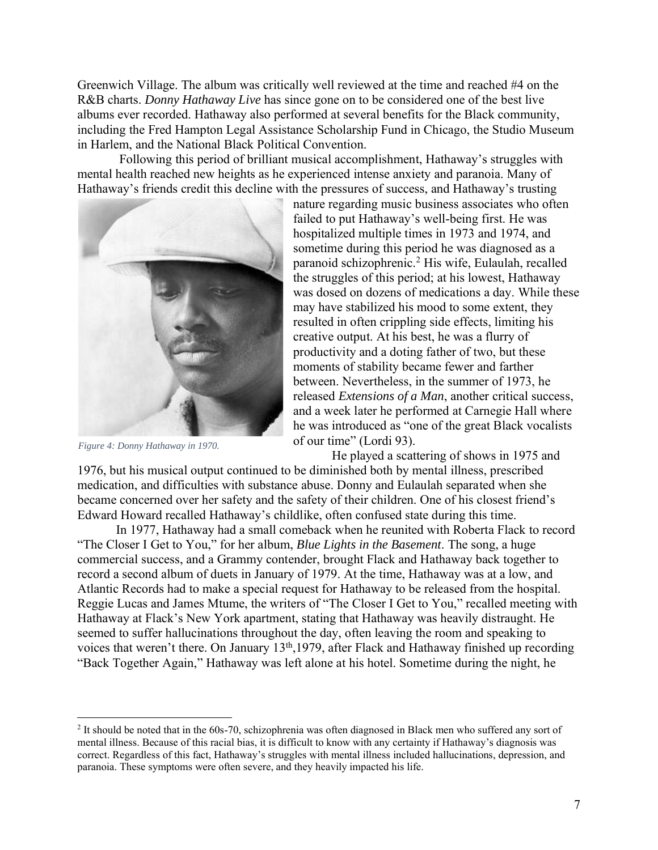Greenwich Village. The album was critically well reviewed at the time and reached #4 on the R&B charts. *Donny Hathaway Live* has since gone on to be considered one of the best live albums ever recorded. Hathaway also performed at several benefits for the Black community, including the Fred Hampton Legal Assistance Scholarship Fund in Chicago, the Studio Museum in Harlem, and the National Black Political Convention.

Following this period of brilliant musical accomplishment, Hathaway's struggles with mental health reached new heights as he experienced intense anxiety and paranoia. Many of Hathaway's friends credit this decline with the pressures of success, and Hathaway's trusting



*Figure 4: Donny Hathaway in 1970.*

nature regarding music business associates who often failed to put Hathaway's well-being first. He was hospitalized multiple times in 1973 and 1974, and sometime during this period he was diagnosed as a paranoid schizophrenic.<sup>2</sup> His wife, Eulaulah, recalled the struggles of this period; at his lowest, Hathaway was dosed on dozens of medications a day. While these may have stabilized his mood to some extent, they resulted in often crippling side effects, limiting his creative output. At his best, he was a flurry of productivity and a doting father of two, but these moments of stability became fewer and farther between. Nevertheless, in the summer of 1973, he released *Extensions of a Man*, another critical success, and a week later he performed at Carnegie Hall where he was introduced as "one of the great Black vocalists of our time" (Lordi 93).

He played a scattering of shows in 1975 and

1976, but his musical output continued to be diminished both by mental illness, prescribed medication, and difficulties with substance abuse. Donny and Eulaulah separated when she became concerned over her safety and the safety of their children. One of his closest friend's Edward Howard recalled Hathaway's childlike, often confused state during this time.

In 1977, Hathaway had a small comeback when he reunited with Roberta Flack to record "The Closer I Get to You," for her album, *Blue Lights in the Basement*. The song, a huge commercial success, and a Grammy contender, brought Flack and Hathaway back together to record a second album of duets in January of 1979. At the time, Hathaway was at a low, and Atlantic Records had to make a special request for Hathaway to be released from the hospital. Reggie Lucas and James Mtume, the writers of "The Closer I Get to You," recalled meeting with Hathaway at Flack's New York apartment, stating that Hathaway was heavily distraught. He seemed to suffer hallucinations throughout the day, often leaving the room and speaking to voices that weren't there. On January 13<sup>th</sup>,1979, after Flack and Hathaway finished up recording "Back Together Again," Hathaway was left alone at his hotel. Sometime during the night, he

<sup>&</sup>lt;sup>2</sup> It should be noted that in the 60s-70, schizophrenia was often diagnosed in Black men who suffered any sort of mental illness. Because of this racial bias, it is difficult to know with any certainty if Hathaway's diagnosis was correct. Regardless of this fact, Hathaway's struggles with mental illness included hallucinations, depression, and paranoia. These symptoms were often severe, and they heavily impacted his life.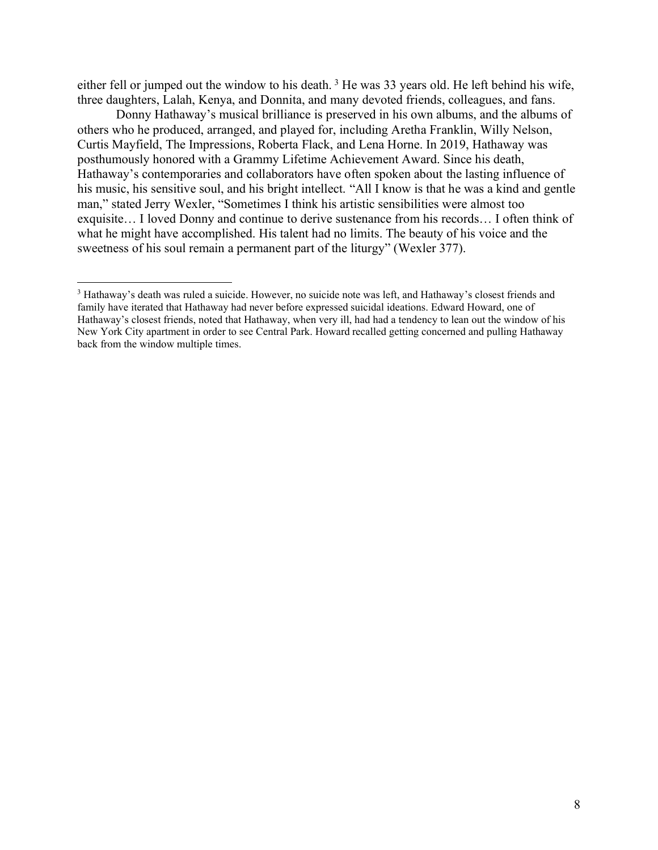either fell or jumped out the window to his death.<sup>3</sup> He was 33 years old. He left behind his wife, three daughters, Lalah, Kenya, and Donnita, and many devoted friends, colleagues, and fans.

Donny Hathaway's musical brilliance is preserved in his own albums, and the albums of others who he produced, arranged, and played for, including Aretha Franklin, Willy Nelson, Curtis Mayfield, The Impressions, Roberta Flack, and Lena Horne. In 2019, Hathaway was posthumously honored with a Grammy Lifetime Achievement Award. Since his death, Hathaway's contemporaries and collaborators have often spoken about the lasting influence of his music, his sensitive soul, and his bright intellect. "All I know is that he was a kind and gentle man," stated Jerry Wexler, "Sometimes I think his artistic sensibilities were almost too exquisite… I loved Donny and continue to derive sustenance from his records… I often think of what he might have accomplished. His talent had no limits. The beauty of his voice and the sweetness of his soul remain a permanent part of the liturgy" (Wexler 377).

<sup>3</sup> Hathaway's death was ruled a suicide. However, no suicide note was left, and Hathaway's closest friends and family have iterated that Hathaway had never before expressed suicidal ideations. Edward Howard, one of Hathaway's closest friends, noted that Hathaway, when very ill, had had a tendency to lean out the window of his New York City apartment in order to see Central Park. Howard recalled getting concerned and pulling Hathaway back from the window multiple times.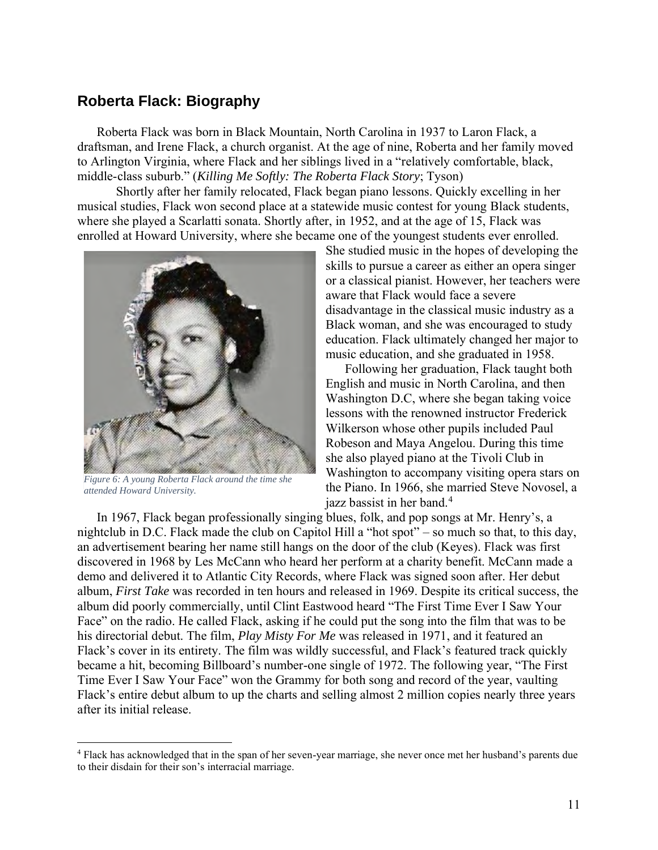## **Roberta Flack: Biography**

Roberta Flack was born in Black Mountain, North Carolina in 1937 to Laron Flack, a draftsman, and Irene Flack, a church organist. At the age of nine, Roberta and her family moved to Arlington Virginia, where Flack and her siblings lived in a "relatively comfortable, black, middle-class suburb." (*Killing Me Softly: The Roberta Flack Story*; Tyson)

Shortly after her family relocated, Flack began piano lessons. Quickly excelling in her musical studies, Flack won second place at a statewide music contest for young Black students, where she played a Scarlatti sonata. Shortly after, in 1952, and at the age of 15, Flack was enrolled at Howard University, where she became one of the youngest students ever enrolled.



*Figure 6: A young Roberta Flack around the time she attended Howard University.*

She studied music in the hopes of developing the skills to pursue a career as either an opera singer or a classical pianist. However, her teachers were aware that Flack would face a severe disadvantage in the classical music industry as a Black woman, and she was encouraged to study education. Flack ultimately changed her major to music education, and she graduated in 1958.

Following her graduation, Flack taught both English and music in North Carolina, and then Washington D.C, where she began taking voice lessons with the renowned instructor Frederick Wilkerson whose other pupils included Paul Robeson and Maya Angelou. During this time she also played piano at the Tivoli Club in Washington to accompany visiting opera stars on the Piano. In 1966, she married Steve Novosel, a jazz bassist in her band.<sup>4</sup>

In 1967, Flack began professionally singing blues, folk, and pop songs at Mr. Henry's, a nightclub in D.C. Flack made the club on Capitol Hill a "hot spot" – so much so that, to this day, an advertisement bearing her name still hangs on the door of the club (Keyes). Flack was first discovered in 1968 by Les McCann who heard her perform at a charity benefit. McCann made a demo and delivered it to Atlantic City Records, where Flack was signed soon after. Her debut album, *First Take* was recorded in ten hours and released in 1969. Despite its critical success, the album did poorly commercially, until Clint Eastwood heard "The First Time Ever I Saw Your Face" on the radio. He called Flack, asking if he could put the song into the film that was to be his directorial debut. The film, *Play Misty For Me* was released in 1971, and it featured an Flack's cover in its entirety. The film was wildly successful, and Flack's featured track quickly became a hit, becoming Billboard's number-one single of 1972. The following year, "The First Time Ever I Saw Your Face" won the Grammy for both song and record of the year, vaulting Flack's entire debut album to up the charts and selling almost 2 million copies nearly three years after its initial release.

<sup>4</sup> Flack has acknowledged that in the span of her seven-year marriage, she never once met her husband's parents due to their disdain for their son's interracial marriage.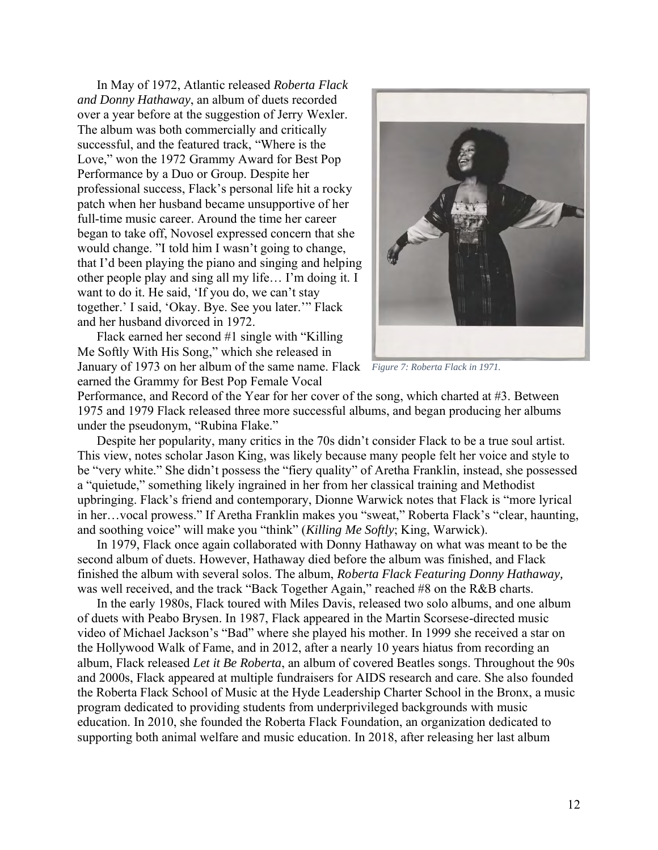In May of 1972, Atlantic released *Roberta Flack and Donny Hathaway*, an album of duets recorded over a year before at the suggestion of Jerry Wexler. The album was both commercially and critically successful, and the featured track, "Where is the Love," won the 1972 Grammy Award for Best Pop Performance by a Duo or Group. Despite her professional success, Flack's personal life hit a rocky patch when her husband became unsupportive of her full-time music career. Around the time her career began to take off, Novosel expressed concern that she would change. "I told him I wasn't going to change, that I'd been playing the piano and singing and helping other people play and sing all my life… I'm doing it. I want to do it. He said, 'If you do, we can't stay together.' I said, 'Okay. Bye. See you later.'" Flack and her husband divorced in 1972.

Flack earned her second #1 single with "Killing Me Softly With His Song," which she released in January of 1973 on her album of the same name. Flack *Figure 7: Roberta Flack in 1971.*earned the Grammy for Best Pop Female Vocal



Performance, and Record of the Year for her cover of the song, which charted at #3. Between 1975 and 1979 Flack released three more successful albums, and began producing her albums under the pseudonym, "Rubina Flake."

Despite her popularity, many critics in the 70s didn't consider Flack to be a true soul artist. This view, notes scholar Jason King, was likely because many people felt her voice and style to be "very white." She didn't possess the "fiery quality" of Aretha Franklin, instead, she possessed a "quietude," something likely ingrained in her from her classical training and Methodist upbringing. Flack's friend and contemporary, Dionne Warwick notes that Flack is "more lyrical in her…vocal prowess." If Aretha Franklin makes you "sweat," Roberta Flack's "clear, haunting, and soothing voice" will make you "think" (*Killing Me Softly*; King, Warwick).

In 1979, Flack once again collaborated with Donny Hathaway on what was meant to be the second album of duets. However, Hathaway died before the album was finished, and Flack finished the album with several solos. The album, *Roberta Flack Featuring Donny Hathaway,*  was well received, and the track "Back Together Again," reached #8 on the R&B charts.

In the early 1980s, Flack toured with Miles Davis, released two solo albums, and one album of duets with Peabo Brysen. In 1987, Flack appeared in the Martin Scorsese-directed music video of Michael Jackson's "Bad" where she played his mother. In 1999 she received a star on the Hollywood Walk of Fame, and in 2012, after a nearly 10 years hiatus from recording an album, Flack released *Let it Be Roberta*, an album of covered Beatles songs. Throughout the 90s and 2000s, Flack appeared at multiple fundraisers for AIDS research and care. She also founded the Roberta Flack School of Music at the Hyde Leadership Charter School in the Bronx, a music program dedicated to providing students from underprivileged backgrounds with music education. In 2010, she founded the Roberta Flack Foundation, an organization dedicated to supporting both animal welfare and music education. In 2018, after releasing her last album